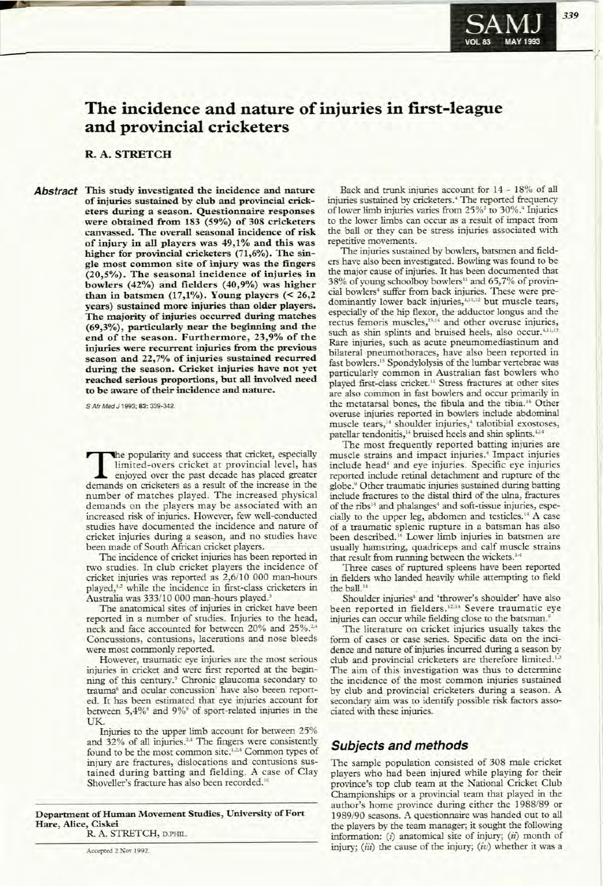# **The incidence and nature of injuries in first-league and provincial cricketers**

### R. A. STRETCH

Abstract This study investigated the incidence and nature of injuries sustained by club and provincial cricketers during a season. Questionnaire responses were obtained from 183 (59%) of 308 cricketers canvassed. The overall seasonal incidence of risk of injury in all players was 49,1% and this was higher for provincial cricketers (71,6%). The single most common site of injury was the fingers (20,5%). The seasonal incidence of injuries in bowlers (42%) and fielders (40,9%) was higher than in batsmen  $(17,1\%)$ . Young players  $( $26,2$$ years) sustained more injuries than older players. The majority of injuries occurred during matches (69,3%), particularly near the beginning and the end of the season. Furthermore, 23,9% of the injuries were recurrent injuries from the previous season and 22,7% of injuries sustained recurred during the season. Cricket injuries have not yet reached serious proportions, but all involved need to be aware of their incidence and nature.

S Air Med J 1993; 83: 339-342.

The popularity and success that cricket, especially<br>limited-overs cricket at provincial level, has<br>enjoyed over the past decade has placed greater<br>damands on cricketers as a result of the increase in the limited-overs cricket at provincial level, has enjoyed over the past decade has placed greater demands on cricketers as a result of the increase in the number of matches played. The increased physical demands on the players may be associated with an increased risk of injuries. However, few well-conducted studies have documented the incidence and nature of cricket injuries during a season, and no studies have been made of South African cricket players.

The incidence of cricket injuries has been reported in two studies. In club cricket players the incidence of cricket injuries was reported as 2,6/10 000 man-hours played,<sup>1,2</sup> while the incidence in first-class cricketers in Australia was 333/10 000 man-hours played.'

The anatomical sites of injuries in cricket have been reported in a number of studies. Injuries to the head, neck and face accounted for between 20% and 25%.<sup>2</sup> Concussions, contusions, lacerations and nose bleeds were most commonly reported.

However, traumatic eye injuries are the most serious injuries in cricket and were first reported at the beginning of this century.<sup>5</sup> Chronic glaucoma secondary to trauma<sup>6</sup> and ocular concussion' have also beeen reported. It has been estimated that eye injuries account for between 5,4%<sup>8</sup> and 9%<sup>9</sup> of sport-related injuries in the **TIK** 

Injuries to the upper limb account for between 25% and  $32\%$  of all injuries.<sup>2,4</sup> The fingers were consistently found to be the most common site.<sup>1,2,4</sup> Common types of injury are fractures, dislocations and contusions sustained during batting and fielding. A case of Clay Shoveller's fracture has also been recorded.<sup>10</sup>

Department of Human Movement Studies, University of Fort Hare, Alice, Ciskei R. A. STRETCH, D.PHIL.

Accepted 2 Nov 1992.

Back and trunk injuries account for 14 - 18% of all injuries sustained by cricketers.<sup>4</sup> The reported frequency of lower limb injuries varies from 25%<sup>2</sup> to 30%.<sup>4</sup> Injuries to the lower limbs can occur as a result of impact from the ball or they can be stress injuries associated with repetitive movements.

The injuries sustained by bowlers, batsmen and fielders have also been investigated. Bowling was found to be the major cause of injuries. It has been documented that 38% of young schoolboy bowlers<sup>11</sup> and 65,7% of provincial bowlers' suffer from back injuries. These were predominantly lower back injuries,<sup>4,11,12</sup> but muscle tears, especially of the hip flexor, the adductor longus and the rectus femoris muscles,<sup>13,14</sup> and other overuse injuries, such as shin splints and bruised heels, also occur.<sup>4,11,1</sup> Rare injuries, such as acute pneumomediastinum and bilateral pneumothoraces, have also been reported in fast bowlers.<sup>15</sup> Spondylolysis of the lumbar vertebrae was particularly common in Australian fast bowlers who played first-class cricket.<sup>11</sup> Stress fractures at other sites are also common in fast bowlers and occur primarily in the metatarsal bones, the fibula and the tibia.<sup>14</sup> Other overuse injuries reported in bowlers include abdominal muscle tears,<sup>14</sup> shoulder injuries,<sup>4</sup> talotibial exostoses, patellar tendonitis,<sup>14</sup> bruised heels and shin splints.<sup>4,14</sup>

The most frequently reported batting injuries are muscle strains and impact injuries! Impact injuries include head· and eye injuries. Specific eye injuries reported include retinal detachment and rupture of the globe.<sup>9</sup> Other traumatic injuries sustained during batting include fractures to the distal third of the ulna, fractures of the ribs" and phalanges· and soft-tissue injuries, especially to the upper leg, abdomen and testicles." A case of a traumatic splenic rupture in a batsman has also been described.<sup>16</sup> Lower limb injuries in batsmen are usually hamstring, quadriceps and calf muscle strains that result from running between the wickets.<sup>1-</sup>

Three cases of ruptured spleens have been reported in fielders who landed heavily while attempting to field the ball.<sup>14</sup>

Shoulder injuries<sup>+</sup> and 'thrower's shoulder' have also been reported in fielders.<sup>12,14</sup> Severe traumatic eye injuries can occur while fielding close to the batsman.'

The literature on cricket injuries usually takes the form of cases or case series. Specific data on the incidence and nature of injuries incurred during a season by club and provincial cricketers are therefore limited.<sup>1,2</sup> The aim of this investigation was thus to determine the incidence of the most common injuries sustained by club and provincial cricketers during a season. A secondary aim was to identify possible risk factors associated with these injuries.

# **Subjects and methods**

The sample population consisted of 308 male cricket players who had been injured while playing for their province's top club team at the National Cricket Club Championships or a provincial team that played in the author's home province during either the 1988/89 or 1989/90 seasons. A questionnaire was handed out to all the players by the team manager; it sought the following information: (i) anatomical site of injury; (ii) month of injury; *(iiz)* the cause of the injury; *(iv)* whether it was a

339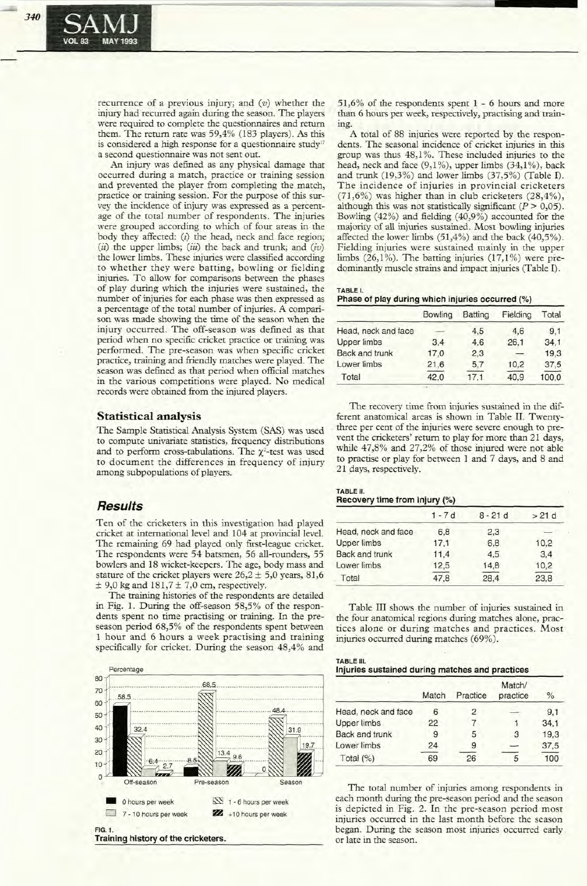recurrence of a previous injury; and  $(v)$  whether the injury had recurred again during the season. The players were required to complete the questionnaires and rerum them. The rerum rate was 59,4% (183 players). As this is considered a high response for a questionnaire study" a second questionnaire was not sent out.

An injury was defined as any physical damage that occurred during a match, practice or training session and prevented the player from completing the match, practice or training session. For the purpose of this survey the incidence of injury was expressed as a percentage of the total number of respondents. The injuries were grouped according to which of four areas in the body they affected: (i) the head, neck and face region; (ii) the upper limbs; (iii) the back and trunk; and  $(iv)$ the lower limbs. These injuries were classified according to whether they were batting, bowling or fielding injuries. To allow for comparisons between the phases of play during which the injuries were sustained, the number of injuries for each phase was then expressed as a percentage of the total number of injuries. A comparison was made showing the time of the season when the injury occurred. The off-season was defined as that period when no specific cricket practice or training was performed. The pre-season was when specific cricket practice, training and friendly matches were played. The season was defined as that period when official matches in the various competitions were played. No medical records were obtained from the injured players.

#### **Statistical analysis**

The Sample Statistical Analysis System (SAS) was used to compute univariate statistics, frequency distributions and to perform cross-tabulations. The  $\chi^2$ -test was used to document the differences in frequency of injury among subpopulations of players.

# **Results**

Ten of the cricketers in this investigation had played cricket at international level and 104 at provincial level. The remaining 69 had played only first-league cricket. The respondents were 54 batsmen, 56 all-rounders, 55 bowlers and 18 wicket-keepers. The age, body mass and stature of the cricket players were  $26.2 \pm 5.0$  years, 81,6  $±$  9,0 kg and 181,7  $±$  7,0 cm, respectively.

The training histories of the respondents are detailed in Fig. 1. During the off-season 58,5% of the respondents spent no time practising or training. In the preseason period 68,5% of the respondents spent between 1 hour and 6 hours a week practising and training specifically for cricket. During the season 48,4% and



51,6% of the respondents spent 1 - 6 hours and more than 6 hours per week, respectively, practising and train**ing.**

A total of 88 injuries were reported by the respondents. The seasonal incidence of cricket injuries in this group was thus 48,1%. These included injuries to the head, neck and face  $(9,1\%)$ , upper limbs  $(34,1\%)$ , back and trunk (19,3%) and lower limbs (37,5%) (Table 1). The incidence of injuries in provincial cricketers  $(71,6\%)$  was higher than in club cricketers  $(28,4\%)$ , although this was not statistically significant *(P> 0,05).* Bowling (42%) and fielding (40,9%) accounted for the majority of all injuries sustained. Most bowling injuries affected the lower limbs (51,4%) and the back (40,5%). Fielding injuries were sustained mainly in the upper limbs  $(26,1\%)$ . The batting injuries  $(17,1\%)$  were predominantly muscle strains and impact injuries (Table 1).

#### TABLE I.

| Phase of play during which injuries occurred (%) |  |  |  |  |  |
|--------------------------------------------------|--|--|--|--|--|
|--------------------------------------------------|--|--|--|--|--|

|                       | <b>Bowling</b> | Batting | Fielding | Total |
|-----------------------|----------------|---------|----------|-------|
| Head, neck and face   |                | 4,5     | 4,6      | 9,1   |
| <b>Upper limbs</b>    | 3.4            | 4.6     | 26.1     | 34.1  |
| <b>Back and trunk</b> | 17,0           | 2,3     |          | 19.3  |
| Lower limbs           | 21.6           | 5.7     | 10.2     | 37,5  |
| Total                 | 42.0           | 17.1    | 40.9     | 100,0 |

The recovery time from injuries sustained in the different anatomical areas is shown in Table IT. Twenty- . three per cent of the injuries were severe enough to prevent the cricketers' rerum to play for more than 21 days, while 47,8% and 27,2% of those injured were not able to practise or play for between 1 and 7 days, and 8 and 21 days, respectively.

#### TABLE 11. **Recovery time from injury** (%)

|                       | $1 - 7d$ | $8 - 21d$ | >21d |  |  |
|-----------------------|----------|-----------|------|--|--|
| Head, neck and face   | 6.8      | 2,3       |      |  |  |
| <b>Upper limbs</b>    | 17.1     | 6,8       | 10,2 |  |  |
| <b>Back and trunk</b> | 11,4     | 4,5       | 3.4  |  |  |
| Lower limbs           | 12,5     | 14.8      | 10.2 |  |  |
| Total                 | 47,8     | 28,4      | 23,8 |  |  |

Table III shows the number of injuries sustained in the four anatomical regions during matches alone, practices alone or during matches and practices. Most injuries occurred during matches (69%).

| TABLE III. |                                                 |  |  |
|------------|-------------------------------------------------|--|--|
|            | Injuries sustained during matches and practices |  |  |
|            |                                                 |  |  |

|                       | Match | Practice | Match/<br>practice | $\%$ |
|-----------------------|-------|----------|--------------------|------|
| Head, neck and face   | 6     | 2        |                    | 9.1  |
| <b>Upper limbs</b>    | 22    |          |                    | 34.1 |
| <b>Back and trunk</b> | 9     | 5        | 3                  | 19.3 |
| Lower limbs           | 24    | 9        |                    | 37,5 |
| Total $(%)$           | 69    | 26       | 5                  | 100  |

The total number of injuries among respondents in each month during the pre-season period and the season is depicted in Fig. 2. In the pre-season period most injuries occurred in the last month before the season began. During the season most injuries occurred early\_ or late in the season.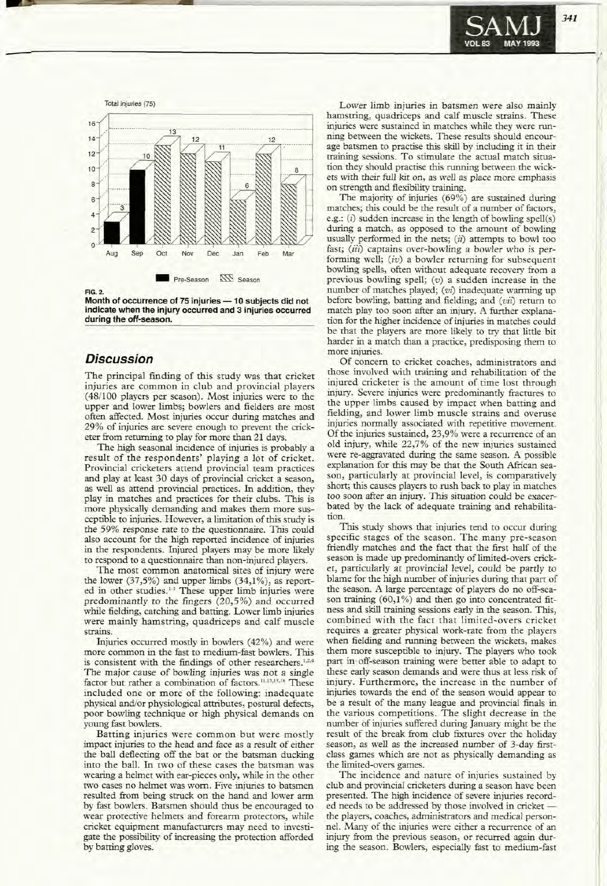



**-**

Month of occurrence of 75 injuries - 10 subjects did not indicate when the injury occurred and 3 injuries occurred during the off-season.

### **Discussion**

The principal finding of this study was that cricket injuries are common in club and provincial players (48/100 players per season). Most injuries were to the upper and lower limbs; bowlers and fielders are most often affected. Most injuries occur during matches and 29% of injuries are severe enough to prevent the cricketer from returning to play for more than 21 days. .

The high seasonal incidence of injuries is probably a result of the respondents' playing a lot of cricket. Provincial cricketers attend provincial team practices and play at least 30 days of provincial cricket a season, as well as attend provincial practices. In addition, they play in matches and practices for their clubs. This is more physically demanding and makes them more susceptible to injuries. However, a limitation of this study is the 59% response rate to the questionnaire. This could also account for the high reported incidence of injuries in the respondents. Injured players may be more likely to respond to a questionnaire than non-injured players.

The most common anatomical sites of injury were the lower  $(37,5\%)$  and upper limbs  $(34,1\%)$ , as reported in other studies.<sup>1-3</sup> These upper limb injuries were predominantly to the fingers (20,5%) and occurred while fielding, catching and batting. Lower limb injuries were mainly hamstring, quadriceps and calf muscle strains.

Injuries occurred mostly in bowlers (42%) and were more common in the fast to medium-fast bowlers. This is consistent with the findings of other researchers.<sup>12,4</sup> The major cause of bowling injuries was not a single factor but rather a combination of factors.<sup>11,12,15,18</sup> These included one or more of the following: inadequate physical and/or physiological attributes, postural defects, poor bowling technique or high physical demands on young fast bowlers.

Batting injuries were common but were mostly impact injuries to the head and face as a result of either the ball deflecting off the bat or the batsman ducking into the ball. In two of these cases the batsman was wearing a helmet with ear-pieces only, while in the other two cases no helmet was worn. Five injuries to batsmen resulted from being struck on the hand and lower arm by fast bowlers. Batsmen should thus be encouraged to wear protective helmets and forearm protectors, while cricket equipment manufacturers may need to investigate the possibility of increasing the protection afforded by barring gloves.

hamstring, quadriceps and calf muscle strains. These injuries were sustained in matches while they were running between the wickets. These results should encourage batsmen to practise this skill by including it in their training sessions. To stimulate the actual match situation they should practise this running between the wickets with their full kit on, as well as place more emphasis on strength and flexibility training.

The majority of injuries (69%) are sustained during matches; this could be the result of a number of factors, e.g.: (*i*) sudden increase in the length of bowling spell(s) during a match, as opposed to the amount of bowling usually performed in the nets;  $(ii)$  attempts to bowl too fast; (iii) captains over-bowling a bowler who is performing well; (iv) a bowler returning for subsequent bowling spells, often without adequate recovery from a previous bowling spell;  $(v)$  a sudden increase in the number of matches played; (vi) inadequate warming up before bowling, barring and fielding; and *(viz)* return to match play too soon after an injury. A further explanation for the higher incidence of injuries in matches could be that the players are more likely to try that little bit harder in a match than a practice, predisposing them to more injuries.

Of concern to cricket coaches, administrators and those involved with training and rehabilitation of the injured cricketer is the amount of time lost through injury. Severe injuries were predominantly fractures to the upper limbs caused by impact when batting and fielding, and lower limb muscle strains and overuse injuries normally associated with repetitive movement. Of the injuries sustained, 23,9% were a recurrence of an old injury, while 22,7% of the new injuries sustained were re-aggravated during the same season. A possible explanation for this may be that the South African season, particularly at provincial level, is comparatively short; this causes players to rush back to play in matches too soon after an injury. This situation could be exacerbated by the lack of adequate training and rehabilitation.

This study shows that injuries tend to occur during specific stages of the season. The many pre-season friendly matches and the fact that the first half of the season is made up predominantly of limited-overs cricket, particularly at provincial level, could be partly to blame for the high number of injuries during that part of the season. A large percentage of players do no off-season training  $(60,1\%)$  and then go into concentrated fitness and skill training sessions early in the season. This, combined with the fact that limited-overs cricket requires a greater physical work-rate from the players when fielding and running between the wickets, makes them more susceptible to injury. The players who took part in off-season training were better able to adapt to these early season demands and were thus at less risk of injury. Furthermore, the increase in the number of injuries towards the end of the season would appear to be a result of the many league and provincial finals in the various competitions. The slight decrease in the number of injuries suffered during January might be the result of the break from club fixtures over the holiday season, as well as the increased number of 3-day firstclass games which are not as physically demanding as the limited-overs games.

The incidence and nature of injuries sustained by club and provincial cricketers during a season have been presented. The high incidence of severe injuries recorded needs to be addressed by those involved in cricket the players, coaches, administrators and medical personnel. Many of the injuries were either a recurrence of an injury from the previous season, or recurred again during the season. Bowlers, especially fast to medium-fast